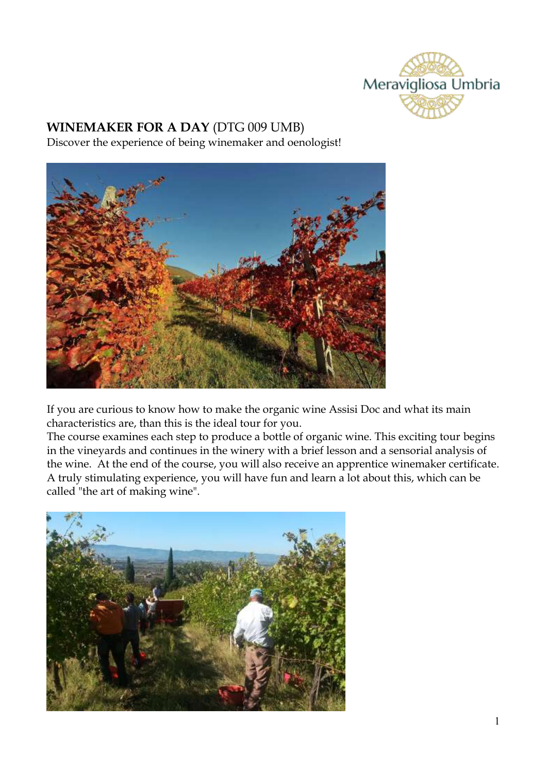

## **WINEMAKER FOR A DAY** (DTG 009 UMB)

Discover the experience of being winemaker and oenologist!



If you are curious to know how to make the organic wine Assisi Doc and what its main characteristics are, than this is the ideal tour for you.

The course examines each step to produce a bottle of organic wine. This exciting tour begins in the vineyards and continues in the winery with a brief lesson and a sensorial analysis of the wine. At the end of the course, you will also receive an apprentice winemaker certificate. A truly stimulating experience, you will have fun and learn a lot about this, which can be called "the art of making wine".